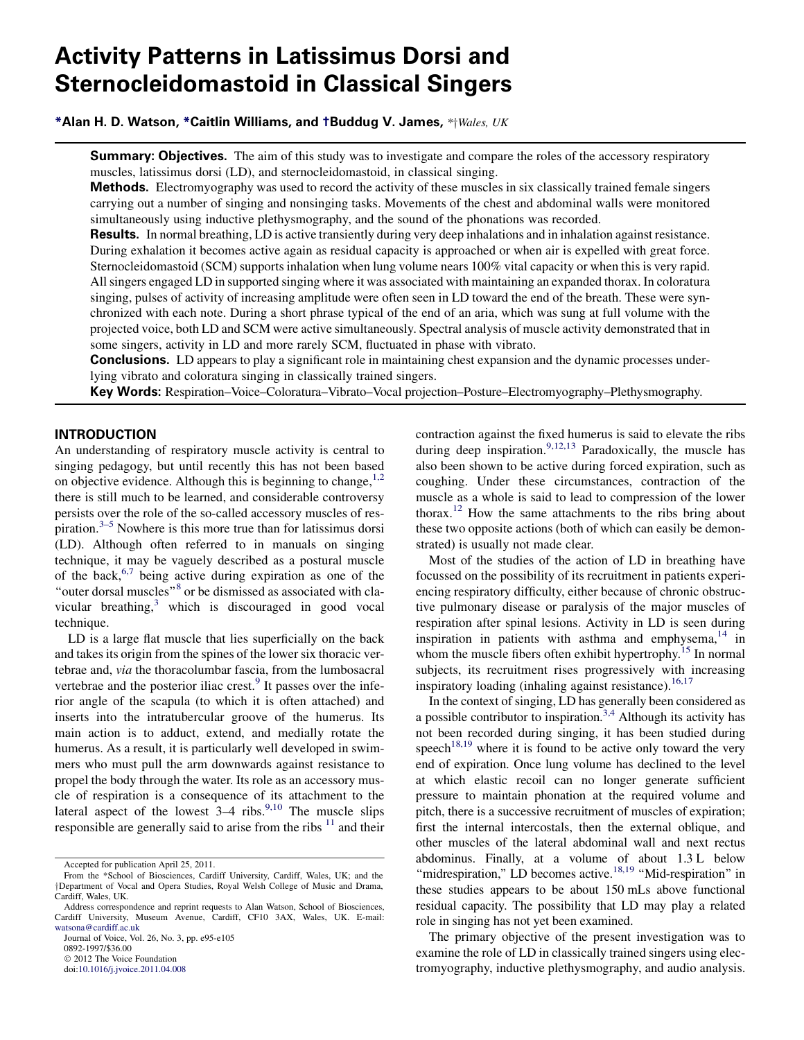# Activity Patterns in Latissimus Dorsi and Sternocleidomastoid in Classical Singers

\*Alan H. D. Watson, \*Caitlin Williams, and †Buddug V. James,  $*$ †Wales, UK

**Summary: Objectives.** The aim of this study was to investigate and compare the roles of the accessory respiratory muscles, latissimus dorsi (LD), and sternocleidomastoid, in classical singing.

**Methods.** Electromyography was used to record the activity of these muscles in six classically trained female singers carrying out a number of singing and nonsinging tasks. Movements of the chest and abdominal walls were monitored simultaneously using inductive plethysmography, and the sound of the phonations was recorded.

**Results.** In normal breathing, LD is active transiently during very deep inhalations and in inhalation against resistance. During exhalation it becomes active again as residual capacity is approached or when air is expelled with great force. Sternocleidomastoid (SCM) supports inhalation when lung volume nears 100% vital capacity or when this is very rapid. All singers engaged LD in supported singing where it was associated with maintaining an expanded thorax. In coloratura singing, pulses of activity of increasing amplitude were often seen in LD toward the end of the breath. These were synchronized with each note. During a short phrase typical of the end of an aria, which was sung at full volume with the projected voice, both LD and SCM were active simultaneously. Spectral analysis of muscle activity demonstrated that in some singers, activity in LD and more rarely SCM, fluctuated in phase with vibrato.

**Conclusions.** LD appears to play a significant role in maintaining chest expansion and the dynamic processes underlying vibrato and coloratura singing in classically trained singers.

Key Words: Respiration–Voice–Coloratura–Vibrato–Vocal projection–Posture–Electromyography–Plethysmography.

# INTRODUCTION

An understanding of respiratory muscle activity is central to singing pedagogy, but until recently this has not been based on objective evidence. Although this is beginning to change,  $1,2$ there is still much to be learned, and considerable controversy persists over the role of the so-called accessory muscles of respiration. $3-5$  Nowhere is this more true than for latissimus dorsi (LD). Although often referred to in manuals on singing technique, it may be vaguely described as a postural muscle of the back, $6,7$  being active during expiration as one of the ''outer dorsal muscles'['8](#page-9-0) or be dismissed as associated with clavicular breathing, $3$  which is discouraged in good vocal technique.

LD is a large flat muscle that lies superficially on the back and takes its origin from the spines of the lower six thoracic vertebrae and, via the thoracolumbar fascia, from the lumbosacral vertebrae and the posterior iliac crest.<sup>[9](#page-9-0)</sup> It passes over the inferior angle of the scapula (to which it is often attached) and inserts into the intratubercular groove of the humerus. Its main action is to adduct, extend, and medially rotate the humerus. As a result, it is particularly well developed in swimmers who must pull the arm downwards against resistance to propel the body through the water. Its role as an accessory muscle of respiration is a consequence of its attachment to the lateral aspect of the lowest  $3-4$  ribs.<sup>[9,10](#page-9-0)</sup> The muscle slips responsible are generally said to arise from the ribs  $11$  and their

Journal of Voice, Vol. 26, No. 3, pp. e95-e105

doi:[10.1016/j.jvoice.2011.04.008](http://dx.doi.org/10.1016/j.jvoice.2011.04.008)

contraction against the fixed humerus is said to elevate the ribs during deep inspiration.<sup>[9,12,13](#page-9-0)</sup> Paradoxically, the muscle has also been shown to be active during forced expiration, such as coughing. Under these circumstances, contraction of the muscle as a whole is said to lead to compression of the lower thorax.<sup>[12](#page-9-0)</sup> How the same attachments to the ribs bring about these two opposite actions (both of which can easily be demonstrated) is usually not made clear.

Most of the studies of the action of LD in breathing have focussed on the possibility of its recruitment in patients experiencing respiratory difficulty, either because of chronic obstructive pulmonary disease or paralysis of the major muscles of respiration after spinal lesions. Activity in LD is seen during inspiration in patients with asthma and emphysema, $14$  in whom the muscle fibers often exhibit hypertrophy.<sup>[15](#page-9-0)</sup> In normal subjects, its recruitment rises progressively with increasing inspiratory loading (inhaling against resistance).<sup>16,17</sup>

In the context of singing, LD has generally been considered as a possible contributor to inspiration.<sup>3,4</sup> Although its activity has not been recorded during singing, it has been studied during speech<sup>18,19</sup> where it is found to be active only toward the very end of expiration. Once lung volume has declined to the level at which elastic recoil can no longer generate sufficient pressure to maintain phonation at the required volume and pitch, there is a successive recruitment of muscles of expiration; first the internal intercostals, then the external oblique, and other muscles of the lateral abdominal wall and next rectus abdominus. Finally, at a volume of about 1.3 L below "midrespiration," LD becomes active.<sup>[18,19](#page-10-0)</sup> "Mid-respiration" in these studies appears to be about 150 mLs above functional residual capacity. The possibility that LD may play a related role in singing has not yet been examined.

The primary objective of the present investigation was to examine the role of LD in classically trained singers using electromyography, inductive plethysmography, and audio analysis.

Accepted for publication April 25, 2011.

From the \*School of Biosciences, Cardiff University, Cardiff, Wales, UK; and the <sup>†</sup>Department of Vocal and Opera Studies, Royal Welsh College of Music and Drama, Cardiff, Wales, UK.

Address correspondence and reprint requests to Alan Watson, School of Biosciences, Cardiff University, Museum Avenue, Cardiff, CF10 3AX, Wales, UK. E-mail: [watsona@cardiff.ac.uk](mailto:watsona@cardiff.ac.uk)

<sup>0892-1997/\$36.00</sup>

2012 The Voice Foundation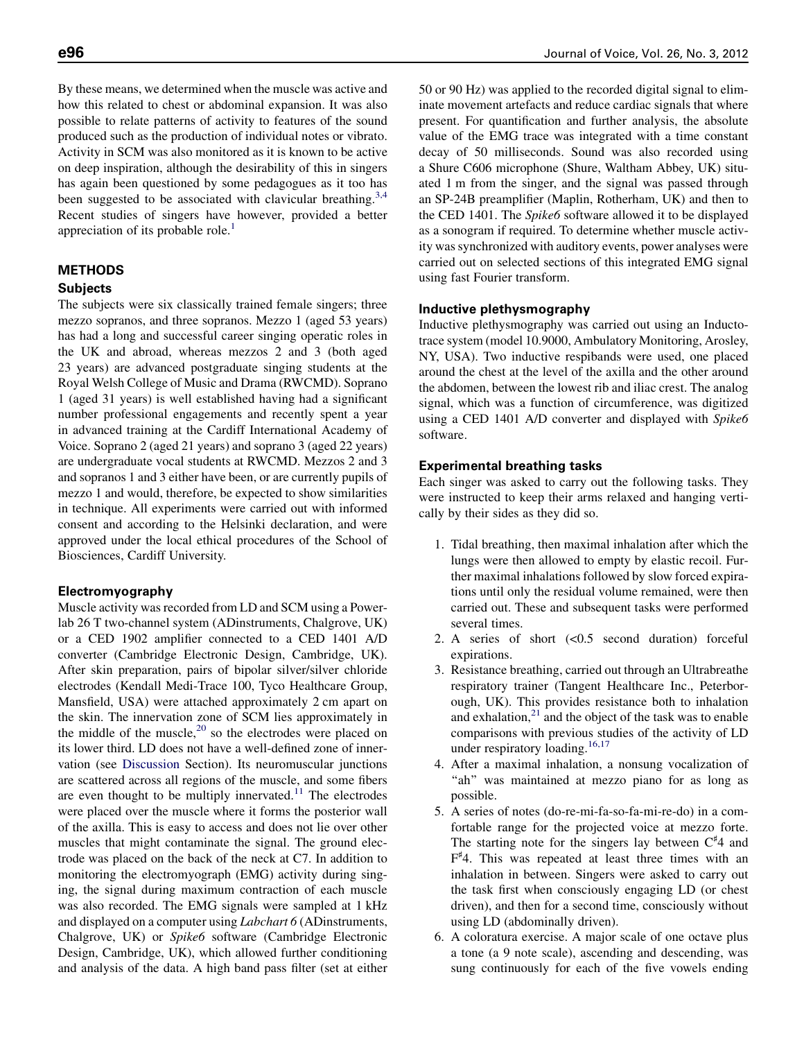By these means, we determined when the muscle was active and how this related to chest or abdominal expansion. It was also possible to relate patterns of activity to features of the sound produced such as the production of individual notes or vibrato. Activity in SCM was also monitored as it is known to be active on deep inspiration, although the desirability of this in singers has again been questioned by some pedagogues as it too has been suggested to be associated with clavicular breathing.<sup>[3,4](#page-9-0)</sup> Recent studies of singers have however, provided a better appreciation of its probable role. $<sup>1</sup>$  $<sup>1</sup>$  $<sup>1</sup>$ </sup>

# METHODS

## Subjects

The subjects were six classically trained female singers; three mezzo sopranos, and three sopranos. Mezzo 1 (aged 53 years) has had a long and successful career singing operatic roles in the UK and abroad, whereas mezzos 2 and 3 (both aged 23 years) are advanced postgraduate singing students at the Royal Welsh College of Music and Drama (RWCMD). Soprano 1 (aged 31 years) is well established having had a significant number professional engagements and recently spent a year in advanced training at the Cardiff International Academy of Voice. Soprano 2 (aged 21 years) and soprano 3 (aged 22 years) are undergraduate vocal students at RWCMD. Mezzos 2 and 3 and sopranos 1 and 3 either have been, or are currently pupils of mezzo 1 and would, therefore, be expected to show similarities in technique. All experiments were carried out with informed consent and according to the Helsinki declaration, and were approved under the local ethical procedures of the School of Biosciences, Cardiff University.

## Electromyography

Muscle activity was recorded from LD and SCM using a Powerlab 26 T two-channel system (ADinstruments, Chalgrove, UK) or a CED 1902 amplifier connected to a CED 1401 A/D converter (Cambridge Electronic Design, Cambridge, UK). After skin preparation, pairs of bipolar silver/silver chloride electrodes (Kendall Medi-Trace 100, Tyco Healthcare Group, Mansfield, USA) were attached approximately 2 cm apart on the skin. The innervation zone of SCM lies approximately in the middle of the muscle, $2^0$  so the electrodes were placed on its lower third. LD does not have a well-defined zone of innervation (see [Discussion](#page-4-0) Section). Its neuromuscular junctions are scattered across all regions of the muscle, and some fibers are even thought to be multiply innervated.<sup>[11](#page-9-0)</sup> The electrodes were placed over the muscle where it forms the posterior wall of the axilla. This is easy to access and does not lie over other muscles that might contaminate the signal. The ground electrode was placed on the back of the neck at C7. In addition to monitoring the electromyograph (EMG) activity during singing, the signal during maximum contraction of each muscle was also recorded. The EMG signals were sampled at 1 kHz and displayed on a computer using Labchart 6 (ADinstruments, Chalgrove, UK) or Spike6 software (Cambridge Electronic Design, Cambridge, UK), which allowed further conditioning and analysis of the data. A high band pass filter (set at either

50 or 90 Hz) was applied to the recorded digital signal to eliminate movement artefacts and reduce cardiac signals that where present. For quantification and further analysis, the absolute value of the EMG trace was integrated with a time constant decay of 50 milliseconds. Sound was also recorded using a Shure C606 microphone (Shure, Waltham Abbey, UK) situated 1 m from the singer, and the signal was passed through an SP-24B preamplifier (Maplin, Rotherham, UK) and then to the CED 1401. The Spike6 software allowed it to be displayed as a sonogram if required. To determine whether muscle activity was synchronized with auditory events, power analyses were carried out on selected sections of this integrated EMG signal using fast Fourier transform.

## Inductive plethysmography

Inductive plethysmography was carried out using an Inductotrace system (model 10.9000, Ambulatory Monitoring, Arosley, NY, USA). Two inductive respibands were used, one placed around the chest at the level of the axilla and the other around the abdomen, between the lowest rib and iliac crest. The analog signal, which was a function of circumference, was digitized using a CED 1401 A/D converter and displayed with Spike6 software.

## Experimental breathing tasks

Each singer was asked to carry out the following tasks. They were instructed to keep their arms relaxed and hanging vertically by their sides as they did so.

- 1. Tidal breathing, then maximal inhalation after which the lungs were then allowed to empty by elastic recoil. Further maximal inhalations followed by slow forced expirations until only the residual volume remained, were then carried out. These and subsequent tasks were performed several times.
- 2. A series of short (<0.5 second duration) forceful expirations.
- 3. Resistance breathing, carried out through an Ultrabreathe respiratory trainer (Tangent Healthcare Inc., Peterborough, UK). This provides resistance both to inhalation and exhalation, $21$  and the object of the task was to enable comparisons with previous studies of the activity of LD under respiratory loading.<sup>[16,17](#page-9-0)</sup>
- 4. After a maximal inhalation, a nonsung vocalization of "ah" was maintained at mezzo piano for as long as possible.
- 5. A series of notes (do-re-mi-fa-so-fa-mi-re-do) in a comfortable range for the projected voice at mezzo forte. The starting note for the singers lay between  $C^*$ 4 and  $F^*$ 4. This was repeated at least three times with an inhalation in between. Singers were asked to carry out the task first when consciously engaging LD (or chest driven), and then for a second time, consciously without using LD (abdominally driven).
- 6. A coloratura exercise. A major scale of one octave plus a tone (a 9 note scale), ascending and descending, was sung continuously for each of the five vowels ending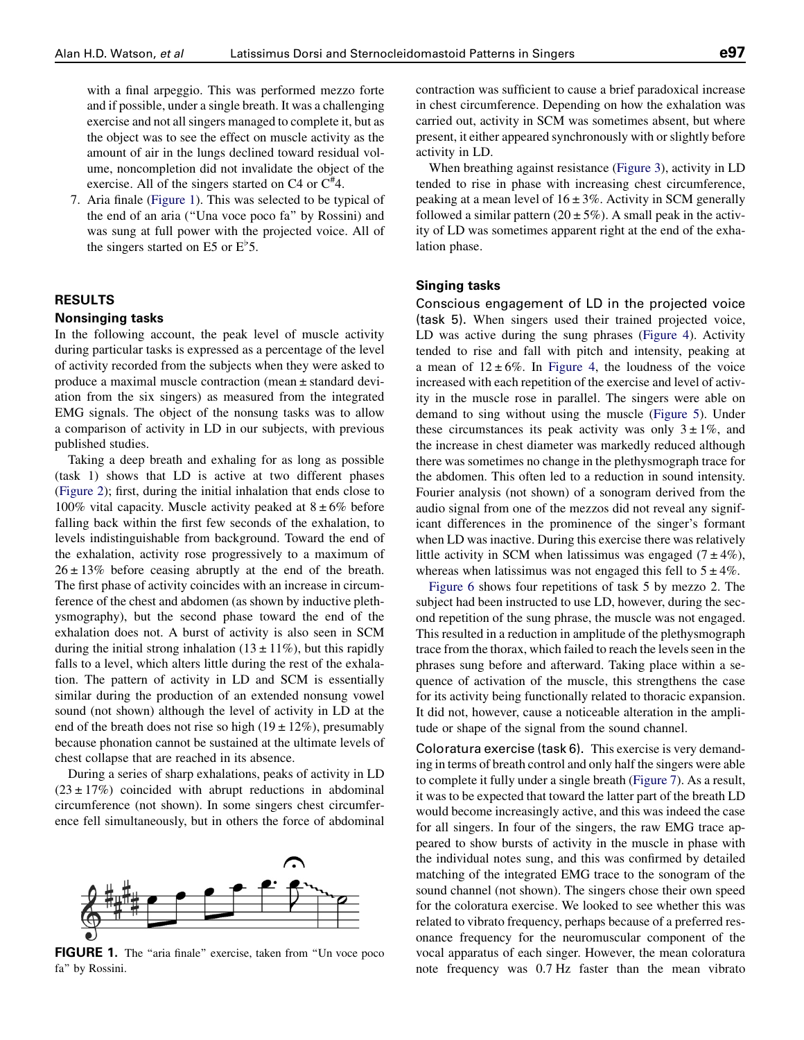<span id="page-2-0"></span>with a final arpeggio. This was performed mezzo forte and if possible, under a single breath. It was a challenging exercise and not all singers managed to complete it, but as the object was to see the effect on muscle activity as the amount of air in the lungs declined toward residual volume, noncompletion did not invalidate the object of the exercise. All of the singers started on C4 or  $C^*$ 4.

7. Aria finale (Figure 1). This was selected to be typical of the end of an aria (''Una voce poco fa'' by Rossini) and was sung at full power with the projected voice. All of the singers started on E5 or  $E^{\flat}$ 5.

## RESULTS

## Nonsinging tasks

In the following account, the peak level of muscle activity during particular tasks is expressed as a percentage of the level of activity recorded from the subjects when they were asked to produce a maximal muscle contraction (mean ± standard deviation from the six singers) as measured from the integrated EMG signals. The object of the nonsung tasks was to allow a comparison of activity in LD in our subjects, with previous published studies.

Taking a deep breath and exhaling for as long as possible (task 1) shows that LD is active at two different phases [\(Figure 2](#page-3-0)); first, during the initial inhalation that ends close to 100% vital capacity. Muscle activity peaked at  $8 \pm 6$ % before falling back within the first few seconds of the exhalation, to levels indistinguishable from background. Toward the end of the exhalation, activity rose progressively to a maximum of  $26 \pm 13\%$  before ceasing abruptly at the end of the breath. The first phase of activity coincides with an increase in circumference of the chest and abdomen (as shown by inductive plethysmography), but the second phase toward the end of the exhalation does not. A burst of activity is also seen in SCM during the initial strong inhalation  $(13 \pm 11\%)$ , but this rapidly falls to a level, which alters little during the rest of the exhalation. The pattern of activity in LD and SCM is essentially similar during the production of an extended nonsung vowel sound (not shown) although the level of activity in LD at the end of the breath does not rise so high ( $19 \pm 12\%$ ), presumably because phonation cannot be sustained at the ultimate levels of chest collapse that are reached in its absence.

During a series of sharp exhalations, peaks of activity in LD  $(23 \pm 17\%)$  coincided with abrupt reductions in abdominal circumference (not shown). In some singers chest circumference fell simultaneously, but in others the force of abdominal



FIGURE 1. The "aria finale" exercise, taken from "Un voce poco fa'' by Rossini.

contraction was sufficient to cause a brief paradoxical increase in chest circumference. Depending on how the exhalation was carried out, activity in SCM was sometimes absent, but where present, it either appeared synchronously with or slightly before activity in LD.

When breathing against resistance ([Figure 3](#page-3-0)), activity in LD tended to rise in phase with increasing chest circumference, peaking at a mean level of  $16 \pm 3\%$ . Activity in SCM generally followed a similar pattern  $(20 \pm 5\%)$ . A small peak in the activity of LD was sometimes apparent right at the end of the exhalation phase.

#### Singing tasks

Conscious engagement of LD in the projected voice (task 5). When singers used their trained projected voice, LD was active during the sung phrases ([Figure 4](#page-4-0)). Activity tended to rise and fall with pitch and intensity, peaking at a mean of  $12 \pm 6\%$ . In [Figure 4](#page-4-0), the loudness of the voice increased with each repetition of the exercise and level of activity in the muscle rose in parallel. The singers were able on demand to sing without using the muscle ([Figure 5\)](#page-4-0). Under these circumstances its peak activity was only  $3 \pm 1\%$ , and the increase in chest diameter was markedly reduced although there was sometimes no change in the plethysmograph trace for the abdomen. This often led to a reduction in sound intensity. Fourier analysis (not shown) of a sonogram derived from the audio signal from one of the mezzos did not reveal any significant differences in the prominence of the singer's formant when LD was inactive. During this exercise there was relatively little activity in SCM when latissimus was engaged  $(7 \pm 4\%)$ , whereas when latissimus was not engaged this fell to  $5 \pm 4\%$ .

[Figure 6](#page-5-0) shows four repetitions of task 5 by mezzo 2. The subject had been instructed to use LD, however, during the second repetition of the sung phrase, the muscle was not engaged. This resulted in a reduction in amplitude of the plethysmograph trace from the thorax, which failed to reach the levels seen in the phrases sung before and afterward. Taking place within a sequence of activation of the muscle, this strengthens the case for its activity being functionally related to thoracic expansion. It did not, however, cause a noticeable alteration in the amplitude or shape of the signal from the sound channel.

Coloratura exercise (task 6). This exercise is very demanding in terms of breath control and only half the singers were able to complete it fully under a single breath [\(Figure 7\)](#page-5-0). As a result, it was to be expected that toward the latter part of the breath LD would become increasingly active, and this was indeed the case for all singers. In four of the singers, the raw EMG trace appeared to show bursts of activity in the muscle in phase with the individual notes sung, and this was confirmed by detailed matching of the integrated EMG trace to the sonogram of the sound channel (not shown). The singers chose their own speed for the coloratura exercise. We looked to see whether this was related to vibrato frequency, perhaps because of a preferred resonance frequency for the neuromuscular component of the vocal apparatus of each singer. However, the mean coloratura note frequency was 0.7 Hz faster than the mean vibrato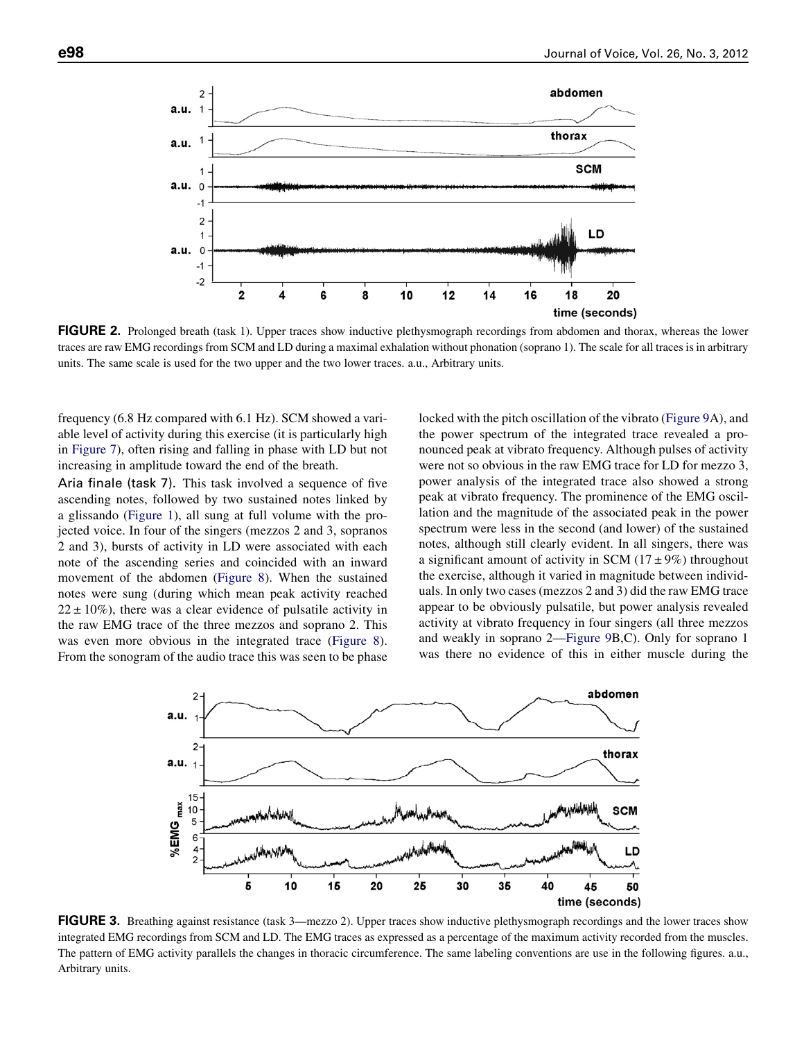<span id="page-3-0"></span>

**FIGURE 2.** Prolonged breath (task 1). Upper traces show inductive plethysmograph recordings from abdomen and thorax, whereas the lower traces are raw EMG recordings from SCM and LD during a maximal exhalation without phonation (soprano 1). The scale for all traces is in arbitrary units. The same scale is used for the two upper and the two lower traces. a.u., Arbitrary units.

frequency (6.8 Hz compared with 6.1 Hz). SCM showed a variable level of activity during this exercise (it is particularly high in [Figure 7\)](#page-5-0), often rising and falling in phase with LD but not increasing in amplitude toward the end of the breath.

Aria finale (task 7). This task involved a sequence of five ascending notes, followed by two sustained notes linked by a glissando [\(Figure 1](#page-2-0)), all sung at full volume with the projected voice. In four of the singers (mezzos 2 and 3, sopranos 2 and 3), bursts of activity in LD were associated with each note of the ascending series and coincided with an inward movement of the abdomen ([Figure 8\)](#page-6-0). When the sustained notes were sung (during which mean peak activity reached  $22 \pm 10\%$ ), there was a clear evidence of pulsatile activity in the raw EMG trace of the three mezzos and soprano 2. This was even more obvious in the integrated trace [\(Figure 8](#page-6-0)). From the sonogram of the audio trace this was seen to be phase locked with the pitch oscillation of the vibrato [\(Figure 9A](#page-6-0)), and the power spectrum of the integrated trace revealed a pronounced peak at vibrato frequency. Although pulses of activity were not so obvious in the raw EMG trace for LD for mezzo 3, power analysis of the integrated trace also showed a strong peak at vibrato frequency. The prominence of the EMG oscillation and the magnitude of the associated peak in the power spectrum were less in the second (and lower) of the sustained notes, although still clearly evident. In all singers, there was a significant amount of activity in SCM ( $17 \pm 9\%$ ) throughout the exercise, although it varied in magnitude between individuals. In only two cases (mezzos 2 and 3) did the raw EMG trace appear to be obviously pulsatile, but power analysis revealed activity at vibrato frequency in four singers (all three mezzos and weakly in soprano 2[—Figure 9](#page-6-0)B,C). Only for soprano 1 was there no evidence of this in either muscle during the



FIGURE 3. Breathing against resistance (task 3—mezzo 2). Upper traces show inductive plethysmograph recordings and the lower traces show integrated EMG recordings from SCM and LD. The EMG traces as expressed as a percentage of the maximum activity recorded from the muscles. The pattern of EMG activity parallels the changes in thoracic circumference. The same labeling conventions are use in the following figures. a.u., Arbitrary units.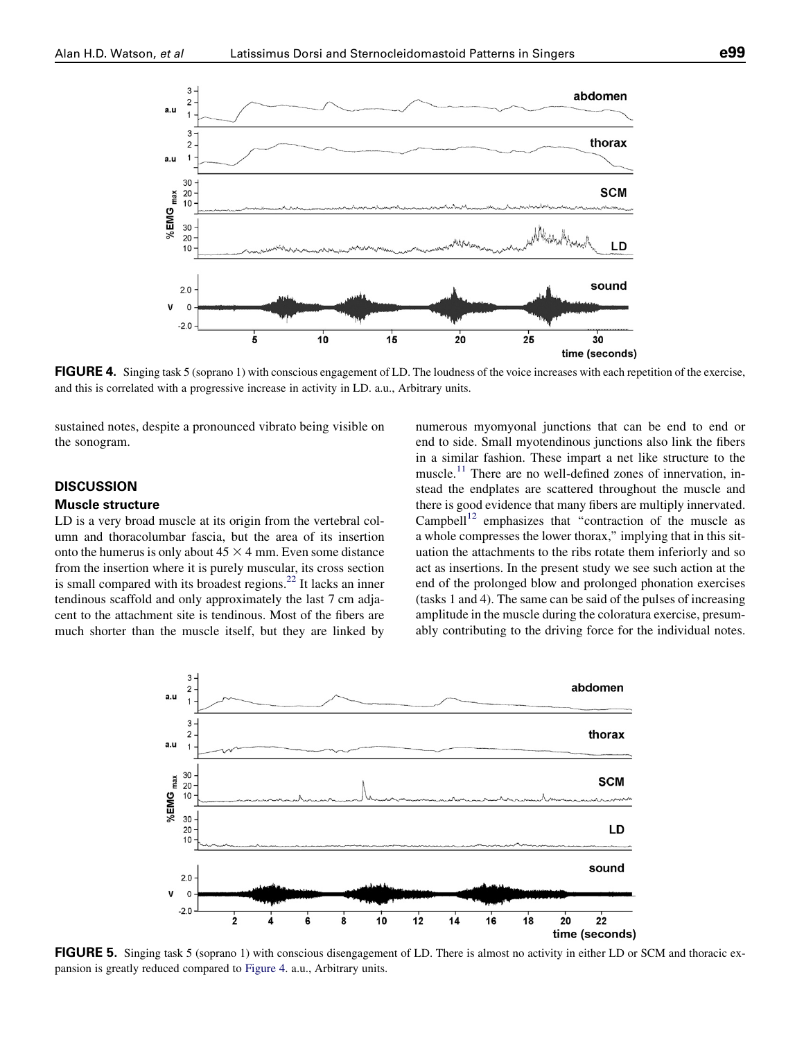<span id="page-4-0"></span>

FIGURE 4. Singing task 5 (soprano 1) with conscious engagement of LD. The loudness of the voice increases with each repetition of the exercise, and this is correlated with a progressive increase in activity in LD. a.u., Arbitrary units.

sustained notes, despite a pronounced vibrato being visible on the sonogram.

## **DISCUSSION**

## Muscle structure

LD is a very broad muscle at its origin from the vertebral column and thoracolumbar fascia, but the area of its insertion onto the humerus is only about  $45 \times 4$  mm. Even some distance from the insertion where it is purely muscular, its cross section is small compared with its broadest regions. $^{22}$  It lacks an inner tendinous scaffold and only approximately the last 7 cm adjacent to the attachment site is tendinous. Most of the fibers are much shorter than the muscle itself, but they are linked by numerous myomyonal junctions that can be end to end or end to side. Small myotendinous junctions also link the fibers in a similar fashion. These impart a net like structure to the muscle.<sup>[11](#page-9-0)</sup> There are no well-defined zones of innervation, instead the endplates are scattered throughout the muscle and there is good evidence that many fibers are multiply innervated. Campbell $12$  emphasizes that "contraction of the muscle as a whole compresses the lower thorax,'' implying that in this situation the attachments to the ribs rotate them inferiorly and so act as insertions. In the present study we see such action at the end of the prolonged blow and prolonged phonation exercises (tasks 1 and 4). The same can be said of the pulses of increasing amplitude in the muscle during the coloratura exercise, presumably contributing to the driving force for the individual notes.



FIGURE 5. Singing task 5 (soprano 1) with conscious disengagement of LD. There is almost no activity in either LD or SCM and thoracic expansion is greatly reduced compared to Figure 4. a.u., Arbitrary units.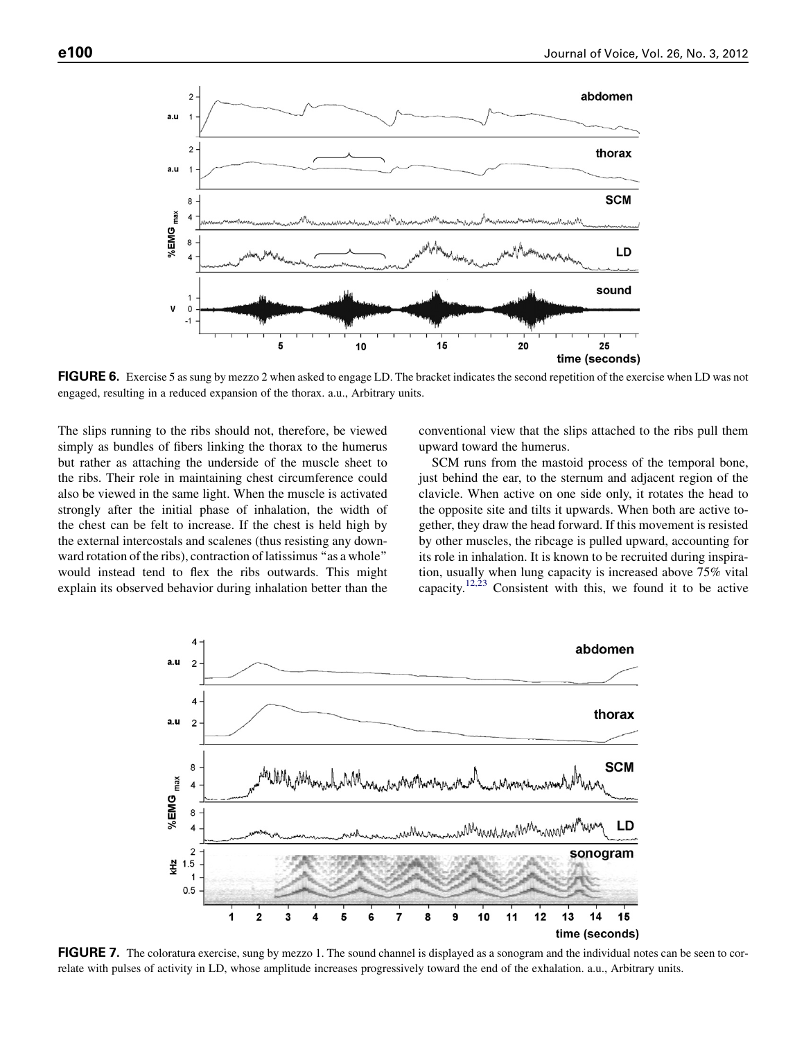<span id="page-5-0"></span>

FIGURE 6. Exercise 5 as sung by mezzo 2 when asked to engage LD. The bracket indicates the second repetition of the exercise when LD was not engaged, resulting in a reduced expansion of the thorax. a.u., Arbitrary units.

The slips running to the ribs should not, therefore, be viewed simply as bundles of fibers linking the thorax to the humerus but rather as attaching the underside of the muscle sheet to the ribs. Their role in maintaining chest circumference could also be viewed in the same light. When the muscle is activated strongly after the initial phase of inhalation, the width of the chest can be felt to increase. If the chest is held high by the external intercostals and scalenes (thus resisting any downward rotation of the ribs), contraction of latissimus ''as a whole'' would instead tend to flex the ribs outwards. This might explain its observed behavior during inhalation better than the conventional view that the slips attached to the ribs pull them upward toward the humerus.

SCM runs from the mastoid process of the temporal bone, just behind the ear, to the sternum and adjacent region of the clavicle. When active on one side only, it rotates the head to the opposite site and tilts it upwards. When both are active together, they draw the head forward. If this movement is resisted by other muscles, the ribcage is pulled upward, accounting for its role in inhalation. It is known to be recruited during inspiration, usually when lung capacity is increased above 75% vital capacity.<sup>[12,23](#page-9-0)</sup> Consistent with this, we found it to be active



FIGURE 7. The coloratura exercise, sung by mezzo 1. The sound channel is displayed as a sonogram and the individual notes can be seen to correlate with pulses of activity in LD, whose amplitude increases progressively toward the end of the exhalation. a.u., Arbitrary units.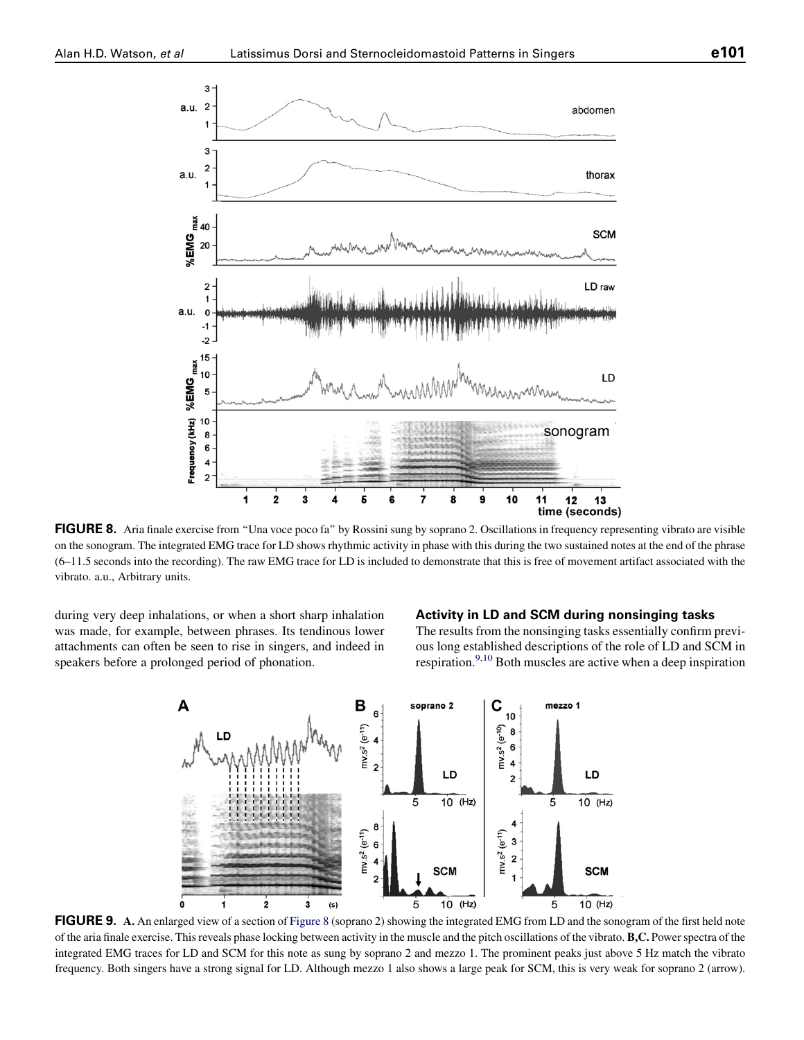<span id="page-6-0"></span>

FIGURE 8. Aria finale exercise from "Una voce poco fa" by Rossini sung by soprano 2. Oscillations in frequency representing vibrato are visible on the sonogram. The integrated EMG trace for LD shows rhythmic activity in phase with this during the two sustained notes at the end of the phrase (6–11.5 seconds into the recording). The raw EMG trace for LD is included to demonstrate that this is free of movement artifact associated with the vibrato. a.u., Arbitrary units.

during very deep inhalations, or when a short sharp inhalation was made, for example, between phrases. Its tendinous lower attachments can often be seen to rise in singers, and indeed in speakers before a prolonged period of phonation.

#### Activity in LD and SCM during nonsinging tasks

The results from the nonsinging tasks essentially confirm previous long established descriptions of the role of LD and SCM in respiration.<sup>[9,10](#page-9-0)</sup> Both muscles are active when a deep inspiration



FIGURE 9. A. An enlarged view of a section of Figure 8 (soprano 2) showing the integrated EMG from LD and the sonogram of the first held note of the aria finale exercise. This reveals phase locking between activity in the muscle and the pitch oscillations of the vibrato. B,C. Power spectra of the integrated EMG traces for LD and SCM for this note as sung by soprano 2 and mezzo 1. The prominent peaks just above 5 Hz match the vibrato frequency. Both singers have a strong signal for LD. Although mezzo 1 also shows a large peak for SCM, this is very weak for soprano 2 (arrow).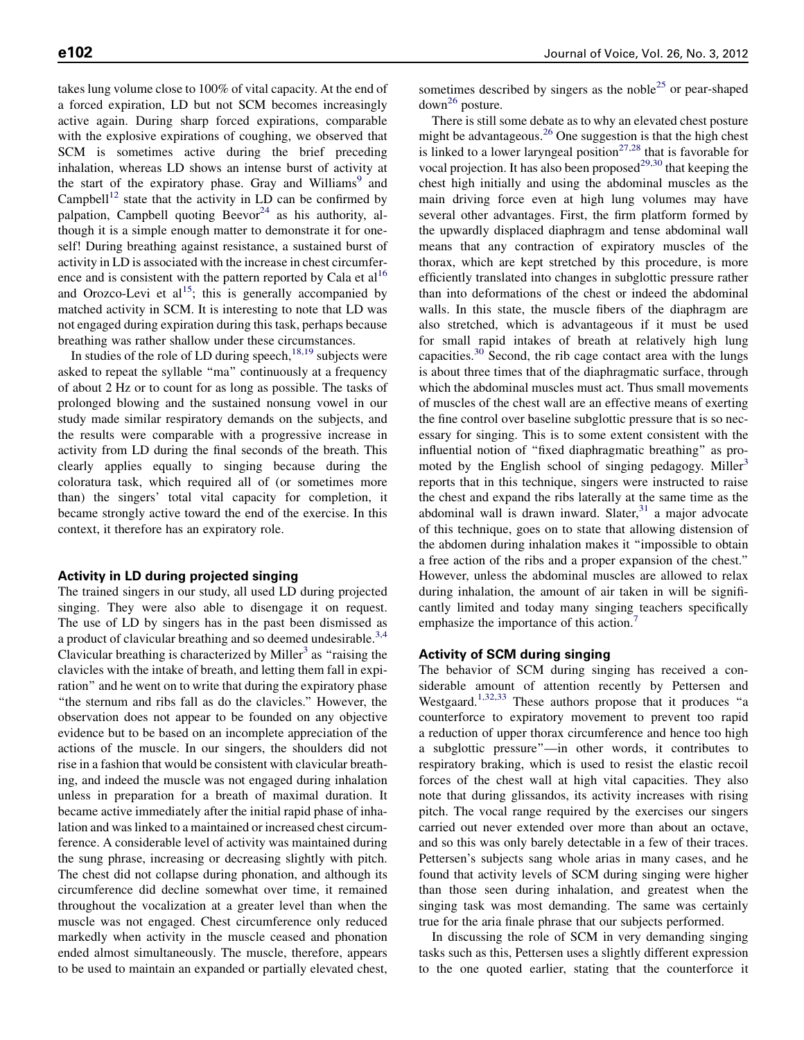takes lung volume close to 100% of vital capacity. At the end of a forced expiration, LD but not SCM becomes increasingly active again. During sharp forced expirations, comparable with the explosive expirations of coughing, we observed that SCM is sometimes active during the brief preceding inhalation, whereas LD shows an intense burst of activity at the start of the expiratory phase. Gray and Williams<sup>[9](#page-9-0)</sup> and Campbell<sup>[12](#page-9-0)</sup> state that the activity in LD can be confirmed by palpation, Campbell quoting  $Beevor<sup>24</sup>$  as his authority, although it is a simple enough matter to demonstrate it for oneself! During breathing against resistance, a sustained burst of activity in LD is associated with the increase in chest circumference and is consistent with the pattern reported by Cala et  $al<sup>16</sup>$  $al<sup>16</sup>$  $al<sup>16</sup>$ and Orozco-Levi et al<sup>[15](#page-9-0)</sup>; this is generally accompanied by matched activity in SCM. It is interesting to note that LD was not engaged during expiration during this task, perhaps because breathing was rather shallow under these circumstances.

In studies of the role of LD during speech, $18,19$  subjects were asked to repeat the syllable ''ma'' continuously at a frequency of about 2 Hz or to count for as long as possible. The tasks of prolonged blowing and the sustained nonsung vowel in our study made similar respiratory demands on the subjects, and the results were comparable with a progressive increase in activity from LD during the final seconds of the breath. This clearly applies equally to singing because during the coloratura task, which required all of (or sometimes more than) the singers' total vital capacity for completion, it became strongly active toward the end of the exercise. In this context, it therefore has an expiratory role.

## Activity in LD during projected singing

The trained singers in our study, all used LD during projected singing. They were also able to disengage it on request. The use of LD by singers has in the past been dismissed as a product of clavicular breathing and so deemed undesirable.<sup>[3,4](#page-9-0)</sup> Clavicular breathing is characterized by Miller<sup>[3](#page-9-0)</sup> as "raising the clavicles with the intake of breath, and letting them fall in expiration'' and he went on to write that during the expiratory phase ''the sternum and ribs fall as do the clavicles.'' However, the observation does not appear to be founded on any objective evidence but to be based on an incomplete appreciation of the actions of the muscle. In our singers, the shoulders did not rise in a fashion that would be consistent with clavicular breathing, and indeed the muscle was not engaged during inhalation unless in preparation for a breath of maximal duration. It became active immediately after the initial rapid phase of inhalation and was linked to a maintained or increased chest circumference. A considerable level of activity was maintained during the sung phrase, increasing or decreasing slightly with pitch. The chest did not collapse during phonation, and although its circumference did decline somewhat over time, it remained throughout the vocalization at a greater level than when the muscle was not engaged. Chest circumference only reduced markedly when activity in the muscle ceased and phonation ended almost simultaneously. The muscle, therefore, appears to be used to maintain an expanded or partially elevated chest, sometimes described by singers as the noble<sup>[25](#page-10-0)</sup> or pear-shaped  $down<sup>26</sup> posture.$  $down<sup>26</sup> posture.$  $down<sup>26</sup> posture.$ 

There is still some debate as to why an elevated chest posture might be advantageous.<sup>[26](#page-10-0)</sup> One suggestion is that the high chest is linked to a lower laryngeal position<sup>[27,28](#page-10-0)</sup> that is favorable for vocal projection. It has also been proposed<sup>[29,30](#page-10-0)</sup> that keeping the chest high initially and using the abdominal muscles as the main driving force even at high lung volumes may have several other advantages. First, the firm platform formed by the upwardly displaced diaphragm and tense abdominal wall means that any contraction of expiratory muscles of the thorax, which are kept stretched by this procedure, is more efficiently translated into changes in subglottic pressure rather than into deformations of the chest or indeed the abdominal walls. In this state, the muscle fibers of the diaphragm are also stretched, which is advantageous if it must be used for small rapid intakes of breath at relatively high lung capacities. $30$  Second, the rib cage contact area with the lungs is about three times that of the diaphragmatic surface, through which the abdominal muscles must act. Thus small movements of muscles of the chest wall are an effective means of exerting the fine control over baseline subglottic pressure that is so necessary for singing. This is to some extent consistent with the influential notion of ''fixed diaphragmatic breathing'' as pro-moted by the English school of singing pedagogy. Miller<sup>[3](#page-9-0)</sup> reports that in this technique, singers were instructed to raise the chest and expand the ribs laterally at the same time as the abdominal wall is drawn inward. Slater, $31$  a major advocate of this technique, goes on to state that allowing distension of the abdomen during inhalation makes it ''impossible to obtain a free action of the ribs and a proper expansion of the chest.'' However, unless the abdominal muscles are allowed to relax during inhalation, the amount of air taken in will be significantly limited and today many singing teachers specifically emphasize the importance of this action.<sup>[7](#page-9-0)</sup>

## Activity of SCM during singing

The behavior of SCM during singing has received a considerable amount of attention recently by Pettersen and Westgaard.<sup>[1,32,33](#page-9-0)</sup> These authors propose that it produces "a counterforce to expiratory movement to prevent too rapid a reduction of upper thorax circumference and hence too high a subglottic pressure''—in other words, it contributes to respiratory braking, which is used to resist the elastic recoil forces of the chest wall at high vital capacities. They also note that during glissandos, its activity increases with rising pitch. The vocal range required by the exercises our singers carried out never extended over more than about an octave, and so this was only barely detectable in a few of their traces. Pettersen's subjects sang whole arias in many cases, and he found that activity levels of SCM during singing were higher than those seen during inhalation, and greatest when the singing task was most demanding. The same was certainly true for the aria finale phrase that our subjects performed.

In discussing the role of SCM in very demanding singing tasks such as this, Pettersen uses a slightly different expression to the one quoted earlier, stating that the counterforce it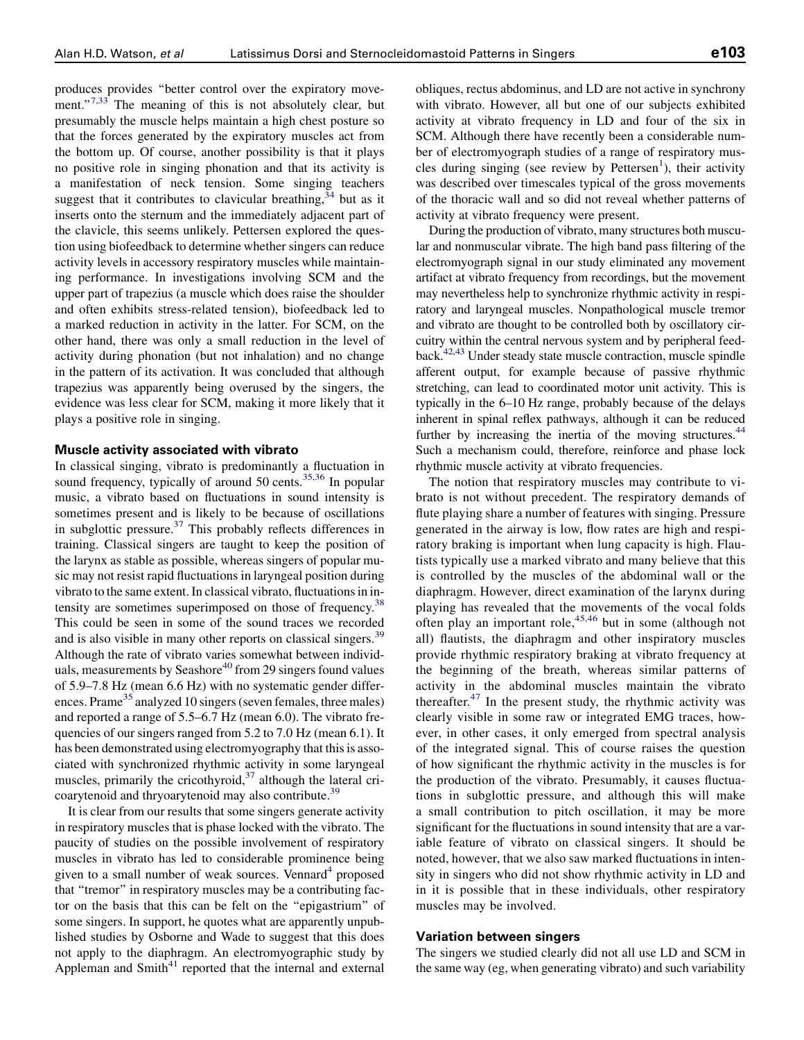produces provides ''better control over the expiratory movement." $7,33$  The meaning of this is not absolutely clear, but presumably the muscle helps maintain a high chest posture so that the forces generated by the expiratory muscles act from the bottom up. Of course, another possibility is that it plays no positive role in singing phonation and that its activity is a manifestation of neck tension. Some singing teachers suggest that it contributes to clavicular breathing,  $34$  but as it inserts onto the sternum and the immediately adjacent part of the clavicle, this seems unlikely. Pettersen explored the question using biofeedback to determine whether singers can reduce activity levels in accessory respiratory muscles while maintaining performance. In investigations involving SCM and the upper part of trapezius (a muscle which does raise the shoulder and often exhibits stress-related tension), biofeedback led to a marked reduction in activity in the latter. For SCM, on the other hand, there was only a small reduction in the level of activity during phonation (but not inhalation) and no change in the pattern of its activation. It was concluded that although trapezius was apparently being overused by the singers, the evidence was less clear for SCM, making it more likely that it plays a positive role in singing.

## Muscle activity associated with vibrato

In classical singing, vibrato is predominantly a fluctuation in sound frequency, typically of around 50 cents.<sup>[35,36](#page-10-0)</sup> In popular music, a vibrato based on fluctuations in sound intensity is sometimes present and is likely to be because of oscillations in subglottic pressure.<sup>[37](#page-10-0)</sup> This probably reflects differences in training. Classical singers are taught to keep the position of the larynx as stable as possible, whereas singers of popular music may not resist rapid fluctuations in laryngeal position during vibrato to the same extent. In classical vibrato, fluctuations in in-tensity are sometimes superimposed on those of frequency.<sup>[38](#page-10-0)</sup> This could be seen in some of the sound traces we recorded and is also visible in many other reports on classical singers.<sup>[39](#page-10-0)</sup> Although the rate of vibrato varies somewhat between individ-uals, measurements by Seashore<sup>[40](#page-10-0)</sup> from 29 singers found values of 5.9–7.8 Hz (mean 6.6 Hz) with no systematic gender differ-ences. Prame<sup>[35](#page-10-0)</sup> analyzed 10 singers (seven females, three males) and reported a range of 5.5–6.7 Hz (mean 6.0). The vibrato frequencies of our singers ranged from 5.2 to 7.0 Hz (mean 6.1). It has been demonstrated using electromyography that this is associated with synchronized rhythmic activity in some laryngeal muscles, primarily the cricothyroid, $37$  although the lateral cricoarytenoid and thryoarytenoid may also contribute.<sup>39</sup>

It is clear from our results that some singers generate activity in respiratory muscles that is phase locked with the vibrato. The paucity of studies on the possible involvement of respiratory muscles in vibrato has led to considerable prominence being given to a small number of weak sources. Vennard<sup>[4](#page-9-0)</sup> proposed that ''tremor'' in respiratory muscles may be a contributing factor on the basis that this can be felt on the ''epigastrium'' of some singers. In support, he quotes what are apparently unpublished studies by Osborne and Wade to suggest that this does not apply to the diaphragm. An electromyographic study by Appleman and  $Smith<sup>41</sup>$  reported that the internal and external obliques, rectus abdominus, and LD are not active in synchrony with vibrato. However, all but one of our subjects exhibited activity at vibrato frequency in LD and four of the six in SCM. Although there have recently been a considerable number of electromyograph studies of a range of respiratory mus-cles during singing (see review by Pettersen<sup>[1](#page-9-0)</sup>), their activity was described over timescales typical of the gross movements of the thoracic wall and so did not reveal whether patterns of activity at vibrato frequency were present.

During the production of vibrato, many structures both muscular and nonmuscular vibrate. The high band pass filtering of the electromyograph signal in our study eliminated any movement artifact at vibrato frequency from recordings, but the movement may nevertheless help to synchronize rhythmic activity in respiratory and laryngeal muscles. Nonpathological muscle tremor and vibrato are thought to be controlled both by oscillatory circuitry within the central nervous system and by peripheral feedback.[42,43](#page-10-0) Under steady state muscle contraction, muscle spindle afferent output, for example because of passive rhythmic stretching, can lead to coordinated motor unit activity. This is typically in the 6–10 Hz range, probably because of the delays inherent in spinal reflex pathways, although it can be reduced further by increasing the inertia of the moving structures.<sup>44</sup> Such a mechanism could, therefore, reinforce and phase lock rhythmic muscle activity at vibrato frequencies.

The notion that respiratory muscles may contribute to vibrato is not without precedent. The respiratory demands of flute playing share a number of features with singing. Pressure generated in the airway is low, flow rates are high and respiratory braking is important when lung capacity is high. Flautists typically use a marked vibrato and many believe that this is controlled by the muscles of the abdominal wall or the diaphragm. However, direct examination of the larynx during playing has revealed that the movements of the vocal folds often play an important role, $45,46$  but in some (although not all) flautists, the diaphragm and other inspiratory muscles provide rhythmic respiratory braking at vibrato frequency at the beginning of the breath, whereas similar patterns of activity in the abdominal muscles maintain the vibrato thereafter. $47$  In the present study, the rhythmic activity was clearly visible in some raw or integrated EMG traces, however, in other cases, it only emerged from spectral analysis of the integrated signal. This of course raises the question of how significant the rhythmic activity in the muscles is for the production of the vibrato. Presumably, it causes fluctuations in subglottic pressure, and although this will make a small contribution to pitch oscillation, it may be more significant for the fluctuations in sound intensity that are a variable feature of vibrato on classical singers. It should be noted, however, that we also saw marked fluctuations in intensity in singers who did not show rhythmic activity in LD and in it is possible that in these individuals, other respiratory muscles may be involved.

#### Variation between singers

The singers we studied clearly did not all use LD and SCM in the same way (eg, when generating vibrato) and such variability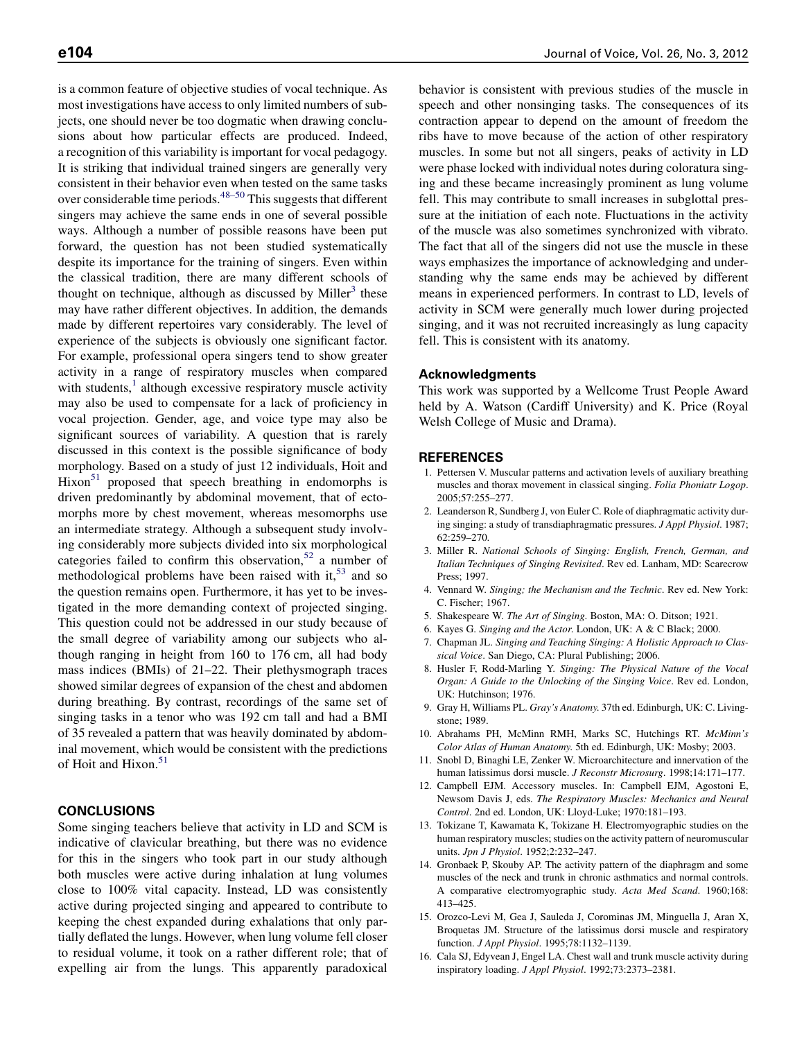<span id="page-9-0"></span>is a common feature of objective studies of vocal technique. As most investigations have access to only limited numbers of subjects, one should never be too dogmatic when drawing conclusions about how particular effects are produced. Indeed, a recognition of this variability is important for vocal pedagogy. It is striking that individual trained singers are generally very consistent in their behavior even when tested on the same tasks over considerable time periods. $48-50$  This suggests that different singers may achieve the same ends in one of several possible ways. Although a number of possible reasons have been put forward, the question has not been studied systematically despite its importance for the training of singers. Even within the classical tradition, there are many different schools of thought on technique, although as discussed by  $Miller<sup>3</sup>$  these may have rather different objectives. In addition, the demands made by different repertoires vary considerably. The level of experience of the subjects is obviously one significant factor. For example, professional opera singers tend to show greater activity in a range of respiratory muscles when compared with students, $\frac{1}{1}$  although excessive respiratory muscle activity may also be used to compensate for a lack of proficiency in vocal projection. Gender, age, and voice type may also be significant sources of variability. A question that is rarely discussed in this context is the possible significance of body morphology. Based on a study of just 12 individuals, Hoit and  $Hixon<sup>51</sup>$  $Hixon<sup>51</sup>$  $Hixon<sup>51</sup>$  proposed that speech breathing in endomorphs is driven predominantly by abdominal movement, that of ectomorphs more by chest movement, whereas mesomorphs use an intermediate strategy. Although a subsequent study involving considerably more subjects divided into six morphological categories failed to confirm this observation,<sup>[52](#page-10-0)</sup> a number of methodological problems have been raised with it,  $53$  and so the question remains open. Furthermore, it has yet to be investigated in the more demanding context of projected singing. This question could not be addressed in our study because of the small degree of variability among our subjects who although ranging in height from 160 to 176 cm, all had body mass indices (BMIs) of 21–22. Their plethysmograph traces showed similar degrees of expansion of the chest and abdomen during breathing. By contrast, recordings of the same set of singing tasks in a tenor who was 192 cm tall and had a BMI of 35 revealed a pattern that was heavily dominated by abdominal movement, which would be consistent with the predictions of Hoit and Hixon.<sup>[51](#page-10-0)</sup>

### **CONCLUSIONS**

Some singing teachers believe that activity in LD and SCM is indicative of clavicular breathing, but there was no evidence for this in the singers who took part in our study although both muscles were active during inhalation at lung volumes close to 100% vital capacity. Instead, LD was consistently active during projected singing and appeared to contribute to keeping the chest expanded during exhalations that only partially deflated the lungs. However, when lung volume fell closer to residual volume, it took on a rather different role; that of expelling air from the lungs. This apparently paradoxical

behavior is consistent with previous studies of the muscle in speech and other nonsinging tasks. The consequences of its contraction appear to depend on the amount of freedom the ribs have to move because of the action of other respiratory muscles. In some but not all singers, peaks of activity in LD were phase locked with individual notes during coloratura singing and these became increasingly prominent as lung volume fell. This may contribute to small increases in subglottal pressure at the initiation of each note. Fluctuations in the activity of the muscle was also sometimes synchronized with vibrato. The fact that all of the singers did not use the muscle in these ways emphasizes the importance of acknowledging and understanding why the same ends may be achieved by different means in experienced performers. In contrast to LD, levels of activity in SCM were generally much lower during projected singing, and it was not recruited increasingly as lung capacity fell. This is consistent with its anatomy.

#### Acknowledgments

This work was supported by a Wellcome Trust People Award held by A. Watson (Cardiff University) and K. Price (Royal Welsh College of Music and Drama).

#### REFERENCES

- 1. Pettersen V. Muscular patterns and activation levels of auxiliary breathing muscles and thorax movement in classical singing. Folia Phoniatr Logop. 2005;57:255–277.
- 2. Leanderson R, Sundberg J, von Euler C. Role of diaphragmatic activity during singing: a study of transdiaphragmatic pressures. J Appl Physiol. 1987; 62:259–270.
- 3. Miller R. National Schools of Singing: English, French, German, and Italian Techniques of Singing Revisited. Rev ed. Lanham, MD: Scarecrow Press; 1997.
- 4. Vennard W. Singing; the Mechanism and the Technic. Rev ed. New York: C. Fischer; 1967.
- 5. Shakespeare W. The Art of Singing. Boston, MA: O. Ditson; 1921.
- 6. Kayes G. Singing and the Actor. London, UK: A & C Black; 2000.
- 7. Chapman JL. Singing and Teaching Singing: A Holistic Approach to Classical Voice. San Diego, CA: Plural Publishing; 2006.
- 8. Husler F, Rodd-Marling Y. Singing: The Physical Nature of the Vocal Organ: A Guide to the Unlocking of the Singing Voice. Rev ed. London, UK: Hutchinson; 1976.
- 9. Gray H, Williams PL. Gray's Anatomy. 37th ed. Edinburgh, UK: C. Livingstone; 1989.
- 10. Abrahams PH, McMinn RMH, Marks SC, Hutchings RT. McMinn's Color Atlas of Human Anatomy. 5th ed. Edinburgh, UK: Mosby; 2003.
- 11. Snobl D, Binaghi LE, Zenker W. Microarchitecture and innervation of the human latissimus dorsi muscle. J Reconstr Microsurg. 1998;14:171–177.
- 12. Campbell EJM. Accessory muscles. In: Campbell EJM, Agostoni E, Newsom Davis J, eds. The Respiratory Muscles: Mechanics and Neural Control. 2nd ed. London, UK: Lloyd-Luke; 1970:181–193.
- 13. Tokizane T, Kawamata K, Tokizane H. Electromyographic studies on the human respiratory muscles; studies on the activity pattern of neuromuscular units. Jpn J Physiol. 1952;2:232–247.
- 14. Gronbaek P, Skouby AP. The activity pattern of the diaphragm and some muscles of the neck and trunk in chronic asthmatics and normal controls. A comparative electromyographic study. Acta Med Scand. 1960;168: 413–425.
- 15. Orozco-Levi M, Gea J, Sauleda J, Corominas JM, Minguella J, Aran X, Broquetas JM. Structure of the latissimus dorsi muscle and respiratory function. J Appl Physiol. 1995;78:1132–1139.
- 16. Cala SJ, Edyvean J, Engel LA. Chest wall and trunk muscle activity during inspiratory loading. J Appl Physiol. 1992;73:2373–2381.